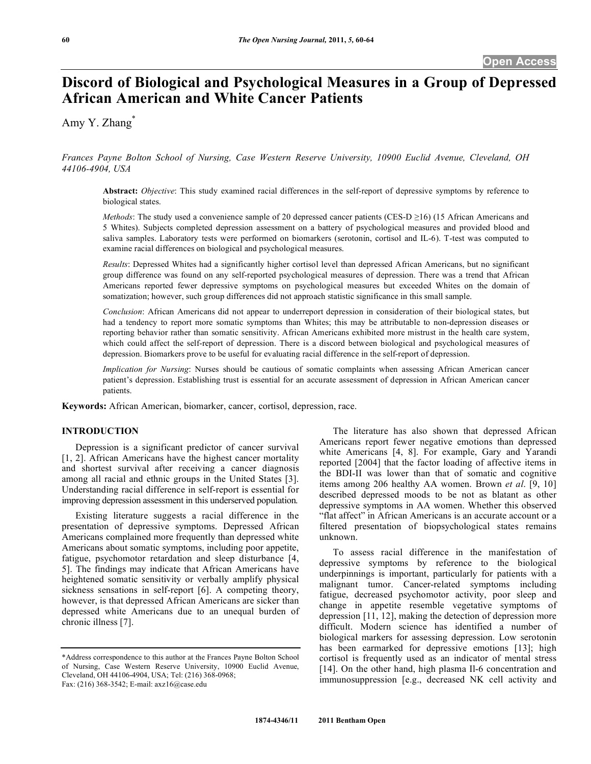# **Discord of Biological and Psychological Measures in a Group of Depressed African American and White Cancer Patients**

Amy Y. Zhang\*

*Frances Payne Bolton School of Nursing, Case Western Reserve University, 10900 Euclid Avenue, Cleveland, OH 44106-4904, USA* 

**Abstract:** *Objective*: This study examined racial differences in the self-report of depressive symptoms by reference to biological states.

*Methods*: The study used a convenience sample of 20 depressed cancer patients (CES-D  $\geq$ 16) (15 African Americans and 5 Whites). Subjects completed depression assessment on a battery of psychological measures and provided blood and saliva samples. Laboratory tests were performed on biomarkers (serotonin, cortisol and IL-6). T-test was computed to examine racial differences on biological and psychological measures.

*Results*: Depressed Whites had a significantly higher cortisol level than depressed African Americans, but no significant group difference was found on any self-reported psychological measures of depression. There was a trend that African Americans reported fewer depressive symptoms on psychological measures but exceeded Whites on the domain of somatization; however, such group differences did not approach statistic significance in this small sample.

*Conclusion*: African Americans did not appear to underreport depression in consideration of their biological states, but had a tendency to report more somatic symptoms than Whites; this may be attributable to non-depression diseases or reporting behavior rather than somatic sensitivity. African Americans exhibited more mistrust in the health care system, which could affect the self-report of depression. There is a discord between biological and psychological measures of depression. Biomarkers prove to be useful for evaluating racial difference in the self-report of depression.

*Implication for Nursing*: Nurses should be cautious of somatic complaints when assessing African American cancer patient's depression. Establishing trust is essential for an accurate assessment of depression in African American cancer patients.

**Keywords:** African American, biomarker, cancer, cortisol, depression, race.

## **INTRODUCTION**

 Depression is a significant predictor of cancer survival [1, 2]. African Americans have the highest cancer mortality and shortest survival after receiving a cancer diagnosis among all racial and ethnic groups in the United States [3]. Understanding racial difference in self-report is essential for improving depression assessment in this underserved population.

 Existing literature suggests a racial difference in the presentation of depressive symptoms. Depressed African Americans complained more frequently than depressed white Americans about somatic symptoms, including poor appetite, fatigue, psychomotor retardation and sleep disturbance [4, 5]. The findings may indicate that African Americans have heightened somatic sensitivity or verbally amplify physical sickness sensations in self-report [6]. A competing theory, however, is that depressed African Americans are sicker than depressed white Americans due to an unequal burden of chronic illness [7].

 The literature has also shown that depressed African Americans report fewer negative emotions than depressed white Americans [4, 8]. For example, Gary and Yarandi reported [2004] that the factor loading of affective items in the BDI-II was lower than that of somatic and cognitive items among 206 healthy AA women. Brown *et al*. [9, 10] described depressed moods to be not as blatant as other depressive symptoms in AA women. Whether this observed "flat affect" in African Americans is an accurate account or a filtered presentation of biopsychological states remains unknown.

 To assess racial difference in the manifestation of depressive symptoms by reference to the biological underpinnings is important, particularly for patients with a malignant tumor. Cancer-related symptoms including fatigue, decreased psychomotor activity, poor sleep and change in appetite resemble vegetative symptoms of depression [11, 12], making the detection of depression more difficult. Modern science has identified a number of biological markers for assessing depression. Low serotonin has been earmarked for depressive emotions [13]; high cortisol is frequently used as an indicator of mental stress [14]. On the other hand, high plasma Il-6 concentration and immunosuppression [e.g., decreased NK cell activity and

<sup>\*</sup>Address correspondence to this author at the Frances Payne Bolton School of Nursing, Case Western Reserve University, 10900 Euclid Avenue, Cleveland, OH 44106-4904, USA; Tel: (216) 368-0968;

Fax: (216) 368-3542; E-mail: axz16@case.edu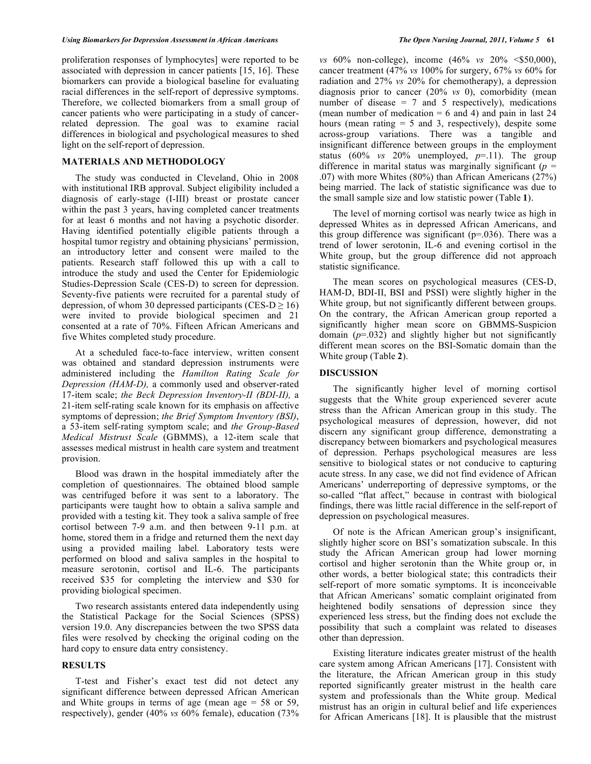proliferation responses of lymphocytes] were reported to be associated with depression in cancer patients [15, 16]. These biomarkers can provide a biological baseline for evaluating racial differences in the self-report of depressive symptoms. Therefore, we collected biomarkers from a small group of cancer patients who were participating in a study of cancerrelated depression. The goal was to examine racial differences in biological and psychological measures to shed light on the self-report of depression.

# **MATERIALS AND METHODOLOGY**

 The study was conducted in Cleveland, Ohio in 2008 with institutional IRB approval. Subject eligibility included a diagnosis of early-stage (I-III) breast or prostate cancer within the past 3 years, having completed cancer treatments for at least 6 months and not having a psychotic disorder. Having identified potentially eligible patients through a hospital tumor registry and obtaining physicians' permission, an introductory letter and consent were mailed to the patients. Research staff followed this up with a call to introduce the study and used the Center for Epidemiologic Studies-Depression Scale (CES-D) to screen for depression. Seventy-five patients were recruited for a parental study of depression, of whom 30 depressed participants (CES-D  $\geq$  16) were invited to provide biological specimen and 21 consented at a rate of 70%. Fifteen African Americans and five Whites completed study procedure.

 At a scheduled face-to-face interview, written consent was obtained and standard depression instruments were administered including the *Hamilton Rating Scale for Depression (HAM-D),* a commonly used and observer-rated 17-item scale; *the Beck Depression Inventory-II (BDI-II),* a 21-item self-rating scale known for its emphasis on affective symptoms of depression; *the Brief Symptom Inventory (BSI)*, a 53-item self-rating symptom scale; and *the Group-Based Medical Mistrust Scale* (GBMMS), a 12-item scale that assesses medical mistrust in health care system and treatment provision.

 Blood was drawn in the hospital immediately after the completion of questionnaires. The obtained blood sample was centrifuged before it was sent to a laboratory. The participants were taught how to obtain a saliva sample and provided with a testing kit. They took a saliva sample of free cortisol between 7-9 a.m. and then between 9-11 p.m. at home, stored them in a fridge and returned them the next day using a provided mailing label. Laboratory tests were performed on blood and saliva samples in the hospital to measure serotonin, cortisol and IL-6. The participants received \$35 for completing the interview and \$30 for providing biological specimen.

 Two research assistants entered data independently using the Statistical Package for the Social Sciences (SPSS) version 19.0. Any discrepancies between the two SPSS data files were resolved by checking the original coding on the hard copy to ensure data entry consistency.

### **RESULTS**

 T-test and Fisher's exact test did not detect any significant difference between depressed African American and White groups in terms of age (mean age  $= 58$  or 59, respectively), gender (40% *vs* 60% female), education (73%

*vs* 60% non-college), income (46% *vs* 20% <\$50,000), cancer treatment (47% *vs* 100% for surgery, 67% *vs* 60% for radiation and 27% *vs* 20% for chemotherapy), a depression diagnosis prior to cancer (20% *vs* 0), comorbidity (mean number of disease  $= 7$  and  $5$  respectively), medications (mean number of medication  $= 6$  and 4) and pain in last 24 hours (mean rating  $= 5$  and 3, respectively), despite some across-group variations. There was a tangible and insignificant difference between groups in the employment status (60%  $\upsilon$ s 20% unemployed,  $p=11$ ). The group difference in marital status was marginally significant  $(p =$ .07) with more Whites (80%) than African Americans (27%) being married. The lack of statistic significance was due to the small sample size and low statistic power (Table **1**).

 The level of morning cortisol was nearly twice as high in depressed Whites as in depressed African Americans, and this group difference was significant ( $p=0.036$ ). There was a trend of lower serotonin, IL-6 and evening cortisol in the White group, but the group difference did not approach statistic significance.

 The mean scores on psychological measures (CES-D, HAM-D, BDI-II, BSI and PSSI) were slightly higher in the White group, but not significantly different between groups. On the contrary, the African American group reported a significantly higher mean score on GBMMS-Suspicion domain (*p*=.032) and slightly higher but not significantly different mean scores on the BSI-Somatic domain than the White group (Table **2**).

### **DISCUSSION**

 The significantly higher level of morning cortisol suggests that the White group experienced severer acute stress than the African American group in this study. The psychological measures of depression, however, did not discern any significant group difference, demonstrating a discrepancy between biomarkers and psychological measures of depression. Perhaps psychological measures are less sensitive to biological states or not conducive to capturing acute stress. In any case, we did not find evidence of African Americans' underreporting of depressive symptoms, or the so-called "flat affect," because in contrast with biological findings, there was little racial difference in the self-report of depression on psychological measures.

 Of note is the African American group's insignificant, slightly higher score on BSI's somatization subscale. In this study the African American group had lower morning cortisol and higher serotonin than the White group or, in other words, a better biological state; this contradicts their self-report of more somatic symptoms. It is inconceivable that African Americans' somatic complaint originated from heightened bodily sensations of depression since they experienced less stress, but the finding does not exclude the possibility that such a complaint was related to diseases other than depression.

 Existing literature indicates greater mistrust of the health care system among African Americans [17]. Consistent with the literature, the African American group in this study reported significantly greater mistrust in the health care system and professionals than the White group. Medical mistrust has an origin in cultural belief and life experiences for African Americans [18]. It is plausible that the mistrust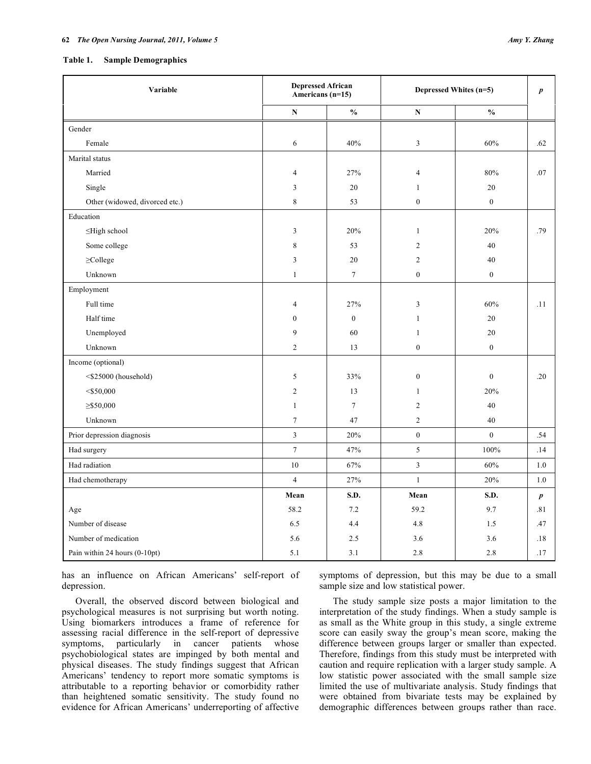#### **Table 1. Sample Demographics**

| Variable                       | <b>Depressed African</b><br>Americans $(n=15)$ |                  | Depressed Whites (n=5) |                  | $\boldsymbol{p}$ |
|--------------------------------|------------------------------------------------|------------------|------------------------|------------------|------------------|
|                                | ${\bf N}$                                      | $\frac{0}{0}$    | N                      | $\frac{0}{0}$    |                  |
| Gender                         |                                                |                  |                        |                  |                  |
| Female                         | 6                                              | 40%              | $\mathfrak{Z}$         | 60%              | .62              |
| Marital status                 |                                                |                  |                        |                  |                  |
| Married                        | $\overline{4}$                                 | 27%              | $\overline{4}$         | 80%              | .07              |
| Single                         | 3                                              | 20               | $\mathbf{1}$           | 20               |                  |
| Other (widowed, divorced etc.) | 8                                              | 53               | $\boldsymbol{0}$       | $\boldsymbol{0}$ |                  |
| Education                      |                                                |                  |                        |                  |                  |
| ≤High school                   | 3                                              | 20%              | $\mathbf{1}$           | 20%              | .79              |
| Some college                   | 8                                              | 53               | $\overline{2}$         | 40               |                  |
| $\geq$ College                 | 3                                              | 20               | $\sqrt{2}$             | 40               |                  |
| Unknown                        | $\mathbf{1}$                                   | $\boldsymbol{7}$ | $\boldsymbol{0}$       | $\boldsymbol{0}$ |                  |
| Employment                     |                                                |                  |                        |                  |                  |
| Full time                      | $\overline{4}$                                 | 27%              | $\mathfrak z$          | 60%              | .11              |
| Half time                      | $\overline{0}$                                 | $\mathbf{0}$     | 1                      | $20\,$           |                  |
| Unemployed                     | 9                                              | 60               | $\mathbf{1}$           | 20               |                  |
| Unknown                        | $\overline{c}$                                 | 13               | $\boldsymbol{0}$       | $\boldsymbol{0}$ |                  |
| Income (optional)              |                                                |                  |                        |                  |                  |
| <\$25000 (household)           | 5                                              | 33%              | $\boldsymbol{0}$       | $\boldsymbol{0}$ | .20              |
| $<$ \$50,000                   | $\overline{c}$                                 | 13               | $\mathbf{1}$           | 20%              |                  |
| $\geq$ \$50,000                | $\mathbf{1}$                                   | $\overline{7}$   | $\overline{2}$         | 40               |                  |
| Unknown                        | $\boldsymbol{7}$                               | 47               | $\overline{c}$         | 40               |                  |
| Prior depression diagnosis     | $\overline{\mathbf{3}}$                        | 20%              | $\mathbf{0}$           | $\overline{0}$   | .54              |
| Had surgery                    | $\overline{7}$                                 | 47%              | 5                      | 100%             | .14              |
| Had radiation                  | 10                                             | 67%              | 3                      | 60%              | 1.0              |
| Had chemotherapy               | $\overline{4}$                                 | 27%              | $\mathbf{1}$           | 20%              | 1.0              |
|                                | Mean                                           | S.D.             | Mean                   | S.D.             | $\boldsymbol{p}$ |
| Age                            | 58.2                                           | 7.2              | 59.2                   | 9.7              | .81              |
| Number of disease              | 6.5                                            | 4.4              | 4.8                    | 1.5              | .47              |
| Number of medication           | 5.6                                            | 2.5              | 3.6                    | 3.6              | .18              |
| Pain within 24 hours (0-10pt)  | 5.1                                            | 3.1              | 2.8                    | 2.8              | .17              |

has an influence on African Americans' self-report of depression.

 Overall, the observed discord between biological and psychological measures is not surprising but worth noting. Using biomarkers introduces a frame of reference for assessing racial difference in the self-report of depressive symptoms, particularly in cancer patients whose psychobiological states are impinged by both mental and physical diseases. The study findings suggest that African Americans' tendency to report more somatic symptoms is attributable to a reporting behavior or comorbidity rather than heightened somatic sensitivity. The study found no evidence for African Americans' underreporting of affective

symptoms of depression, but this may be due to a small sample size and low statistical power.

 The study sample size posts a major limitation to the interpretation of the study findings. When a study sample is as small as the White group in this study, a single extreme score can easily sway the group's mean score, making the difference between groups larger or smaller than expected. Therefore, findings from this study must be interpreted with caution and require replication with a larger study sample. A low statistic power associated with the small sample size limited the use of multivariate analysis. Study findings that were obtained from bivariate tests may be explained by demographic differences between groups rather than race.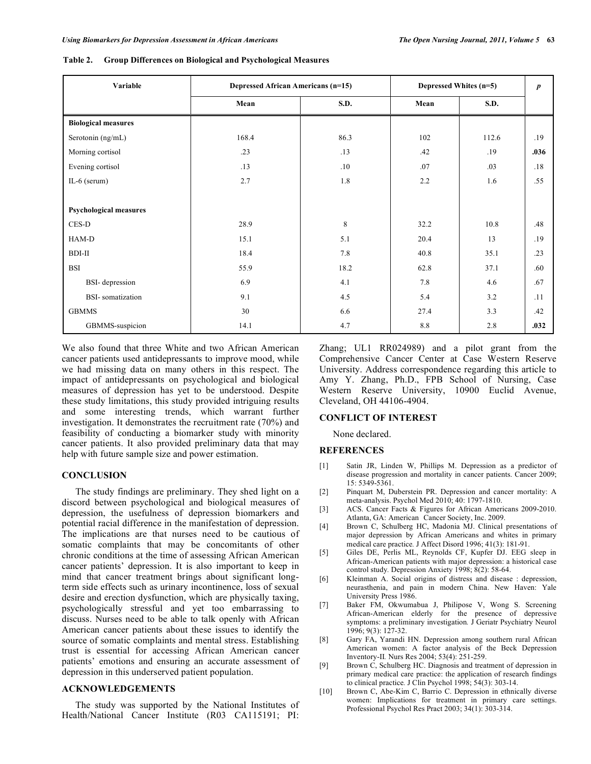| Variable                      | Depressed African Americans (n=15) |      | Depressed Whites (n=5) |       | $\boldsymbol{p}$ |
|-------------------------------|------------------------------------|------|------------------------|-------|------------------|
|                               | Mean                               | S.D. | Mean                   | S.D.  |                  |
| <b>Biological measures</b>    |                                    |      |                        |       |                  |
| Serotonin (ng/mL)             | 168.4                              | 86.3 | 102                    | 112.6 | .19              |
| Morning cortisol              | .23                                | .13  | .42                    | .19   | .036             |
| Evening cortisol              | .13                                | .10  | .07                    | .03   | .18              |
| IL- $6$ (serum)               | 2.7                                | 1.8  | 2.2                    | 1.6   | .55              |
|                               |                                    |      |                        |       |                  |
| <b>Psychological measures</b> |                                    |      |                        |       |                  |
| CES-D                         | 28.9                               | 8    | 32.2                   | 10.8  | .48              |
| HAM-D                         | 15.1                               | 5.1  | 20.4                   | 13    | .19              |
| BDI-II                        | 18.4                               | 7.8  | 40.8                   | 35.1  | .23              |
| <b>BSI</b>                    | 55.9                               | 18.2 | 62.8                   | 37.1  | .60              |
| <b>BSI-</b> depression        | 6.9                                | 4.1  | 7.8                    | 4.6   | .67              |
| <b>BSI-</b> somatization      | 9.1                                | 4.5  | 5.4                    | 3.2   | .11              |
| <b>GBMMS</b>                  | 30                                 | 6.6  | 27.4                   | 3.3   | .42              |
| GBMMS-suspicion               | 14.1                               | 4.7  | 8.8                    | 2.8   | .032             |

|  | Table 2. Group Differences on Biological and Psychological Measures |
|--|---------------------------------------------------------------------|
|  |                                                                     |

We also found that three White and two African American cancer patients used antidepressants to improve mood, while we had missing data on many others in this respect. The impact of antidepressants on psychological and biological measures of depression has yet to be understood. Despite these study limitations, this study provided intriguing results and some interesting trends, which warrant further investigation. It demonstrates the recruitment rate (70%) and feasibility of conducting a biomarker study with minority cancer patients. It also provided preliminary data that may help with future sample size and power estimation.

## **CONCLUSION**

 The study findings are preliminary. They shed light on a discord between psychological and biological measures of depression, the usefulness of depression biomarkers and potential racial difference in the manifestation of depression. The implications are that nurses need to be cautious of somatic complaints that may be concomitants of other chronic conditions at the time of assessing African American cancer patients' depression. It is also important to keep in mind that cancer treatment brings about significant longterm side effects such as urinary incontinence, loss of sexual desire and erection dysfunction, which are physically taxing, psychologically stressful and yet too embarrassing to discuss. Nurses need to be able to talk openly with African American cancer patients about these issues to identify the source of somatic complaints and mental stress. Establishing trust is essential for accessing African American cancer patients' emotions and ensuring an accurate assessment of depression in this underserved patient population.

## **ACKNOWLEDGEMENTS**

 The study was supported by the National Institutes of Health/National Cancer Institute (R03 CA115191; PI:

Zhang; UL1 RR024989) and a pilot grant from the Comprehensive Cancer Center at Case Western Reserve University. Address correspondence regarding this article to Amy Y. Zhang, Ph.D., FPB School of Nursing, Case Western Reserve University, 10900 Euclid Avenue, Cleveland, OH 44106-4904.

## **CONFLICT OF INTEREST**

None declared.

#### **REFERENCES**

- [1] Satin JR, Linden W, Phillips M. Depression as a predictor of disease progression and mortality in cancer patients. Cancer 2009; 15: 5349-5361.
- [2] Pinquart M, Duberstein PR. Depression and cancer mortality: A meta-analysis. Psychol Med 2010; 40: 1797-1810.
- [3] ACS. Cancer Facts & Figures for African Americans 2009-2010. Atlanta, GA: American Cancer Society, Inc. 2009.
- [4] Brown C, Schulberg HC, Madonia MJ. Clinical presentations of major depression by African Americans and whites in primary medical care practice*.* J Affect Disord 1996; 41(3): 181-91.
- [5] Giles DE, Perlis ML, Reynolds CF, Kupfer DJ. EEG sleep in African-American patients with major depression: a historical case control study*.* Depression Anxiety 1998; 8(2): 58-64.
- [6] Kleinman A. Social origins of distress and disease : depression, neurasthenia, and pain in modern China. New Haven: Yale University Press 1986.
- [7] Baker FM, Okwumabua J, Philipose V, Wong S. Screening African-American elderly for the presence of depressive symptoms: a preliminary investigation*.* J Geriatr Psychiatry Neurol 1996; 9(3): 127-32.
- [8] Gary FA, Yarandi HN. Depression among southern rural African American women: A factor analysis of the Beck Depression Inventory-II*.* Nurs Res 2004; 53(4): 251-259.
- [9] Brown C, Schulberg HC. Diagnosis and treatment of depression in primary medical care practice: the application of research findings to clinical practice*.* J Clin Psychol 1998; 54(3): 303-14.
- [10] Brown C, Abe-Kim C, Barrio C. Depression in ethnically diverse women: Implications for treatment in primary care settings. Professional Psychol Res Pract 2003; 34(1): 303-314.